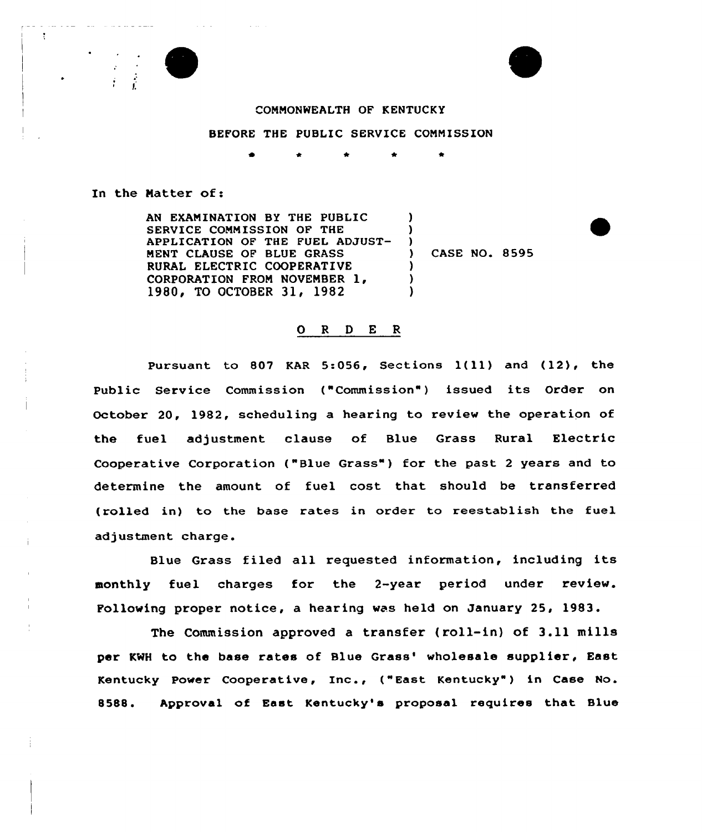

 $\alpha$  and  $\alpha$  is a second

÷

**Contractor** 



## COMMONWEALTH OF KENTUCKY

BEFORE THE PUBIIC SERVICE COMMISSION

\* \* \*

) )  $\frac{1}{2}$ 

> ) ) )

In the Natter of:

AN EXAMINATION BY THE PUBLIC SERVICE COMMISSION OF THE APPLICATION OF THE FUEL ADJUST-MENT CLAUSE OF BLUE GRASS RURAL ELECTRIC COOPERATIVE CORPORATION FROM NOVEMBER 1,<br>1980, TO OCTOBER 31, 1982

) CASE NO. 8595

## 0 <sup>R</sup> 0 <sup>E</sup> <sup>R</sup>

Pursuant to <sup>807</sup> KAR 5:056, Sections 1(ll) and (12), the Public Service Commission ("Commission") issued its Order on October 20, 1982, scheduling a hearing to review the operation of the fuel adjustment clause of Blue Grass Rural Electric Cooperative Corporation ("Blue Grass"} for the past <sup>2</sup> years and to determine the amount of fuel cost that should be transferred (rolled in) to the base rates in order to reestablish the fuel adjustment charge.

Blue Grass filed all requested information, including its monthly fuel charges for the 2-year period under review. Following proper notice, a hearing was held on January 25, 1983.

The Commission approved a transfer (roll-in) of 3.11 mills per KWH to the base rates of Blue Grass' wholesale supplier, East Kentucky Power Cooperative, Inc., ("East Kentucky" ) in Case No. 8588. Approval of East Kentucky's proposal requires that Blue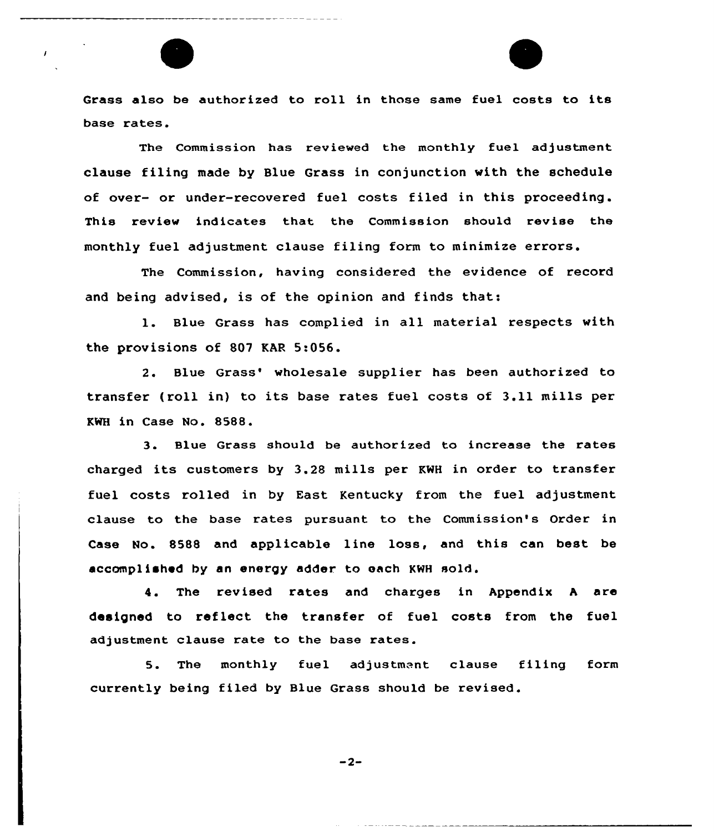Grass also be authorized to roll in those same fuel costs to its base rates.

 $\overline{1}$ 

The Commission has reviewed the monthly fuel adjustment clause filing made by Blue Grass in conjunction with the schedule of over- or under-recovered fuel costs filed in this proceeding . This review indicates that the Commission should revise the monthly fuel adjustment clause filing form to minimize errors.

The Commission, having considered the evidence of record and being advised, is of the opinion and finds that:

l. Blue Grass has complied in all material respects with the provisions of 807 KAR 5:056.

2. Blue Grass' wholesale supplier has been authorized to transfer (roll in) to its base rates fuel costs of 3.ll mills per KWH in Case No. 8588.

3. Blue Grass should be authorized to increase the rates charged its customers by 3.28 mills per KWH in order to transfer fuel costs rolled in by East Kentucky from the fuel adjustment clause to the base rates pursuant to the Commission's Order in Case No. 8588 and applicable line loss, and this can best be accomplished by an energy adder. to each KWH sold.

4. The revised rates and charges in Appendix <sup>A</sup> are designed to reflect the transfer of fuel costs from the fuel adjustment clause rate to the base rates.

5. The monthly fuel adjustment clause filing form currently being filed by Blue Grass should be revised.

$$
-2-
$$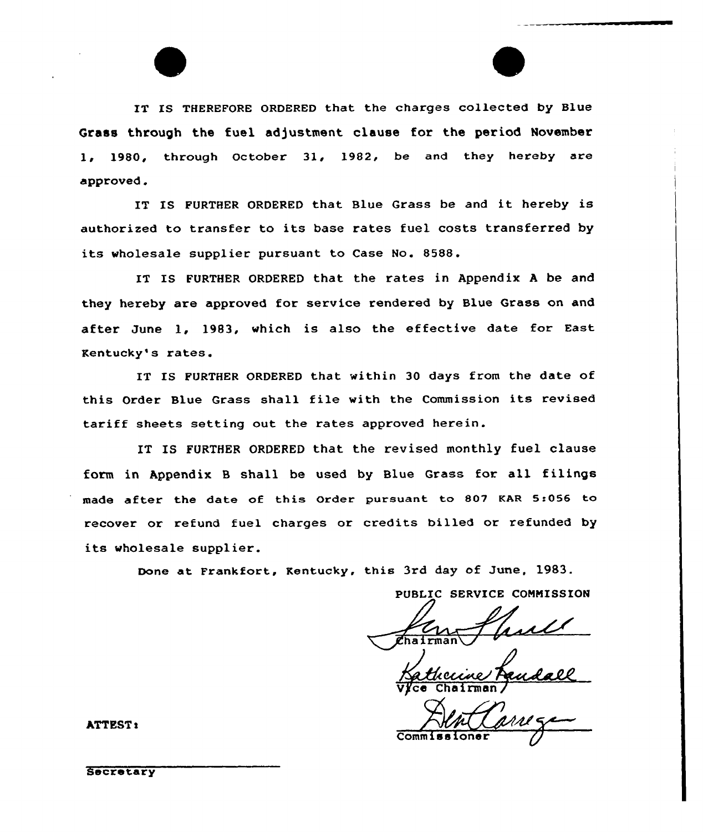IT IS THEREFORE ORDERED that the charges collected by Blue Grass through the fuel adjustment clause for the period November 1, 1980, through October 31, 1982, be and they hereby are approved.

IT IS FURTHER ORDERED that Blue Grass be and it hereby is authorized to transfer to its base rates fuel costs transferred by its wholesale supplier pursuant to Case No. 8588.

IT IS FURTHER ORDERED that the rates in Appendix <sup>A</sup> be and they hereby are approved for service rendered by Blue Grass on and after June 1, 1983, which is also the effective date for East Kentucky's rates.

IT IS FURTHER ORDERED that within 30 days from the date of this Order Blue Grass shall file with the Commission its revised tariff sheets setting out the rates approved herein.

IT IS FURTHER ORDERED that the revised monthly fuel clause form in Appendix 8 shall be used by Blue Grass for all filings made after the date of this Order pursuant to 807 KAR 5:056 to recover or refund fuel charges or credits billed or refunded by its wholesale supplier.

Done at Frankfort, Kentucky, this 3rd day of June, 1983.

PUBLIC SERVICE CONNISSION

 $\overline{\mathtt{V}}$ /ce Chairman

Commissioner

**ATTEST:** 

**Secretary**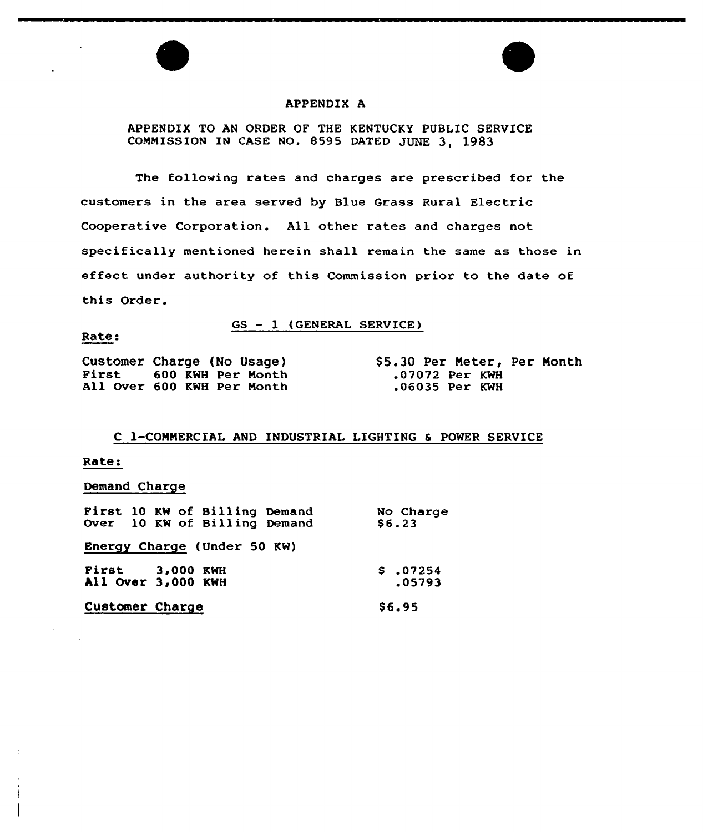## APPENDIX A

# APPENDIX TO AN ORDER OF THE KENTUCKY PUBLIC SERVICE CONNISSION IN CASE NO. 8595 DATED JUNE 3, 1983

The following rates and charges are prescribed for the customers in the area served by Blue Grass Rural Electric Cooperative Corporation. All other rates and charges not specifically mentioned herein shall remain the same as those in effect under authority of this Commission prior to the date of this Order.

GS — 1 (GENERAL SERVICE)

#### Rate:

Customer Charge (No Usage) First <sup>600</sup> KWH Per Nonth All Over 600 KWH Per Nonth

\$ 5.30 Per Neter, Per Nonth .07072 Per KWH .06035 Per KWH

## C 1-CONNERCIAL AND INDUSTRIAL LIGHTING 6 POWER SERVICE

## Rate:

## Demand Charge

| First 10 KW of Billing Demand | No Charge    |
|-------------------------------|--------------|
| Over 10 KW of Billing Demand  | \$6.23       |
| Energy Charge (Under 50 KW)   |              |
| First 3,000 KWH               | \$.07254     |
| All Over 3,000 KWH            | .05793       |
| Customer Charge               | <b>S6.95</b> |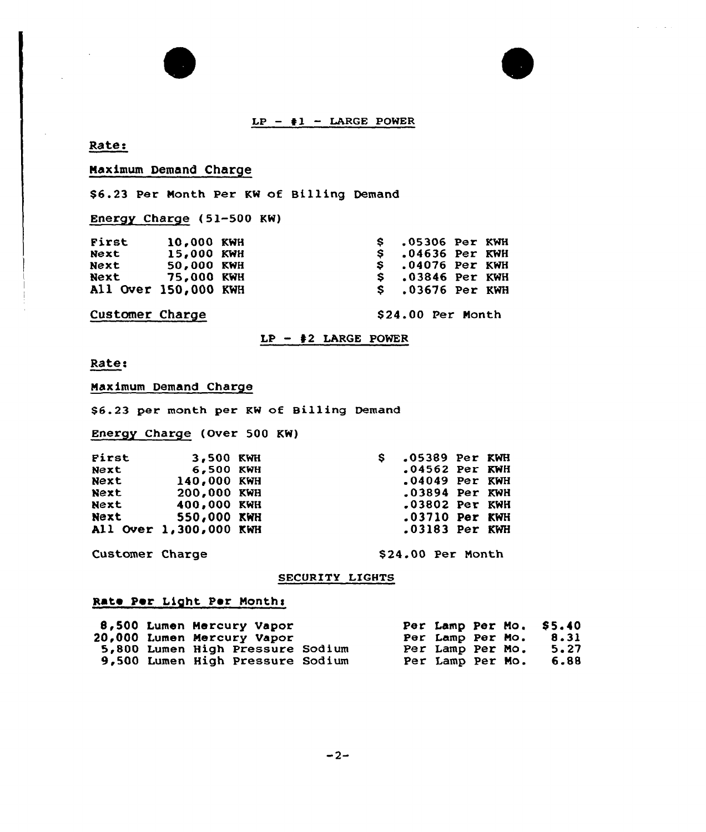

# Rate:

# Naximum Demand Charge

\$6.23 Per Nonth Per KW of Billing Demand

Energy Charge (51-500 KW)

| First                | 10,000 KWH |  | .05306 Per KWH         |  |
|----------------------|------------|--|------------------------|--|
| Next                 | 15,000 KWH |  | $S = 04636$ Per KWH    |  |
| <b>Next</b>          | 50,000 KWH |  | $S$ .04076 Per KWH     |  |
| Next 75,000 KWH      |            |  | $S \sim 03846$ Per KWH |  |
| All Over 150,000 KWH |            |  | $$.03676$ Per KWH      |  |
|                      |            |  |                        |  |

# Customer Charge

\$24.00 Per Month

## $LP - 2$  LARGE POWER

Rate:

Naximum Demand Charge

\$6.23 per month per KW of Billing Demand

Energy Charge (Over 500 KW)

| First       | 3,500 KWH              | S. | .05389 Per KWH   |  |
|-------------|------------------------|----|------------------|--|
| Next        | 6.500 KWH              |    | $.04562$ Per KWH |  |
| Next        | 140,000 KWH            |    | $.04049$ Per KWH |  |
| <b>Next</b> | 200,000 KWH            |    | $.03894$ Per KWH |  |
| Next        | 400,000 KWH            |    | .03802 Per KWH   |  |
| Next        | 550,000 KWH            |    | $.03710$ Per KWH |  |
|             | All Over 1,300,000 KWH |    | .03183 Per KWH   |  |

Customer Charge \$24.00 Per Month

## SECURITY LIGHTS

# Rate Per Light Per Months

|  | 8,500 Lumen Mercury Vapor        |  |                  |  | Per Lamp Per Mo. \$5.40 |
|--|----------------------------------|--|------------------|--|-------------------------|
|  | 20,000 Lumen Mercury Vapor       |  | Per Lamp Per Mo. |  | 8.31                    |
|  | 5,800 Lumen High Pressure Sodium |  | Per Lamp Per Mo. |  | 5.27                    |
|  | 9,500 Lumen High Pressure Sodium |  | Per Lamp Per Mo. |  | 6.88                    |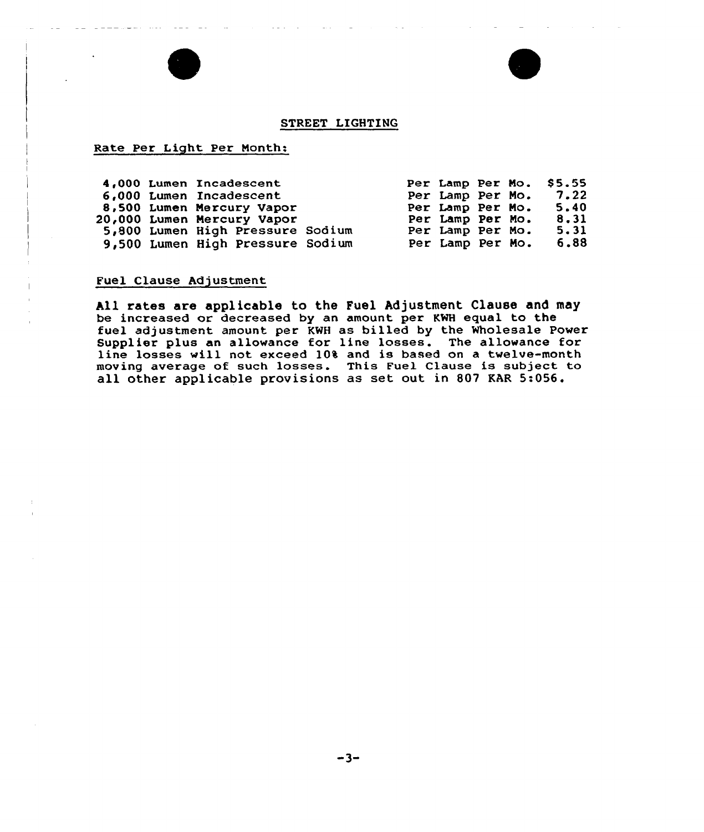## STREET LIGHTING

## Rate Per Light. Per Nonth:

|  | 4,000 Lumen Incadescent<br>6,000 Lumen Incadescent<br>8,500 Lumen Mercury Vapor<br>20,000 Lumen Mercury Vapor |  | Per Lamp Per Mo.<br>Per Lamp Per Mo.<br>Per Lamp Per Mo. |  | Per Lamp Per Mo. \$5.55<br>7.22<br>5.40<br>8.31 |
|--|---------------------------------------------------------------------------------------------------------------|--|----------------------------------------------------------|--|-------------------------------------------------|
|  | 5,800 Lumen High Pressure Sodium<br>9,500 Lumen High Pressure Sodium                                          |  | Per Lamp Per Mo.<br>Per Lamp Per Mo.                     |  | 5.31<br>6.88                                    |

# Fuel Clause Adjustment

All rates are applicable to the Fuel Adjustment Clause and may be increased or decreased by an amount per KMH equal to the fuel adjustment amount per KWH as billed by the Wholesale Power Supplier plus an allowance for line losses. The allowance for line losses will not exceed 10% and is based on a twelve-month moving average of such losses. This Fuel Clause is subject to all other applicable provisions as set out in 807 RAR 5:056.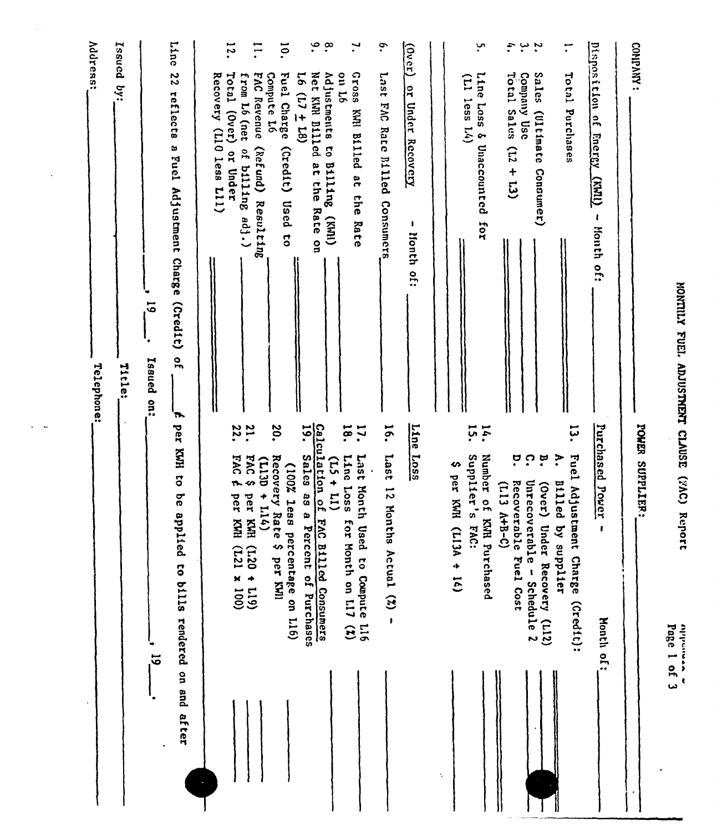.<br>1 ما<br>2 ما

|                                                                                                         | Page I of 3                                                                                          |
|---------------------------------------------------------------------------------------------------------|------------------------------------------------------------------------------------------------------|
| CONPANY:                                                                                                | POWER SUPPLIER:                                                                                      |
| Disposition of<br>Fnergy.<br>$\overline{\text{max}}$<br>$\pmb{\ell}$<br>Month of:                       | Purchased Power<br><b>Month of:</b>                                                                  |
| $\ddot{\cdot}$<br>Total Purchases                                                                       | ដុ<br>$\ddot{\cdot}$<br>Fuel Adjustment Charge (Credit):<br><b>B111ed</b><br>by supplier             |
| Sales<br>(Ultimate<br>Consumer)                                                                         | ္ဗ<br>(Over)<br>Under Recovery (L12)                                                                 |
| $\ddot{\phantom{0}}$<br>Company Use                                                                     | ä<br>ຸດ<br>Unrecoverable - Schedule 2<br>Recoverable Fuel Cost                                       |
| $\ddot{\cdot}$<br>$r$ otal Sales (L2 + L3)                                                              | $(113 A+B-C)$                                                                                        |
| ب<br>•<br>Line Loss & Unaccounted for<br>$(11)$ less $14)$                                              | 14.<br>Supplier's<br>Number of KWH Purchased<br>FAC:                                                 |
|                                                                                                         | ↭<br>per KWH<br>$(L13A + 16)$                                                                        |
| $\frac{1}{2}$<br>or Under<br>Recovery<br>1<br>Honth of:                                                 | Line Loss                                                                                            |
| $\ddot{\bullet}$<br>Last FAC Rate Billed Consumers                                                      | 16.<br>Last<br>$\overline{5}$<br>Mon<br>ths Actual $(2)$ -                                           |
| $\mathbf{H}$<br>Sso <sub>1</sub> 9<br>on L6<br>KWI Billed at<br>che<br>Rate                             | $\overline{9}$<br>:21<br>Line Loss<br>Last Month<br>for Month on LI7 (%)<br>Used to Compute L16      |
| $\degree$<br>$\cdot^{\infty}$<br>Net KWH Billed at the<br>Adjustments to Billing (KWI)<br>Rate on       | Calculation of<br>$(15 +$<br>E<br>FAC Billed Consumers                                               |
| $\overline{5}$<br>Fuel Charge<br>$16(17 + 18)$<br>(credit)<br>Used<br>$\overline{\mathbf{c}}$           | $\overline{19}$ .<br><b>Sales</b><br>(100% less<br>888<br>Percent of Purchases<br>percentage on L16) |
| $\Xi$<br>FAC Revenue<br>Compute L6<br>(Refund) Resulting                                                | 20.<br>Recovery Rate \$ per KWI<br>$(1130 +$<br>11(4)                                                |
| 12.<br>Total (Over)<br>from L6 (net<br>of billing adj.)<br>or Under                                     | 22.<br><b>21.</b><br>FAC <sub>E</sub><br>5.094<br>per KWH (121 + 119)<br>per KWH (121 × 100)         |
| Recovery (LIO less L11)                                                                                 |                                                                                                      |
| Line<br>22<br>reflects<br>a Fuel Adjustment Charge (Credit)<br>$\frac{1}{2}$<br>$\overline{\mathbf{r}}$ | per KWH to be applied to bills rendered on and after                                                 |
| $\overline{5}$<br>Issued on:                                                                            | .<br>ປັ                                                                                              |
| resued by:<br>Title:                                                                                    |                                                                                                      |
| <b>Address:</b><br>Telephone:                                                                           |                                                                                                      |

 $\hat{\mathbf{r}}$ 

 $\ddot{\phantom{a}}$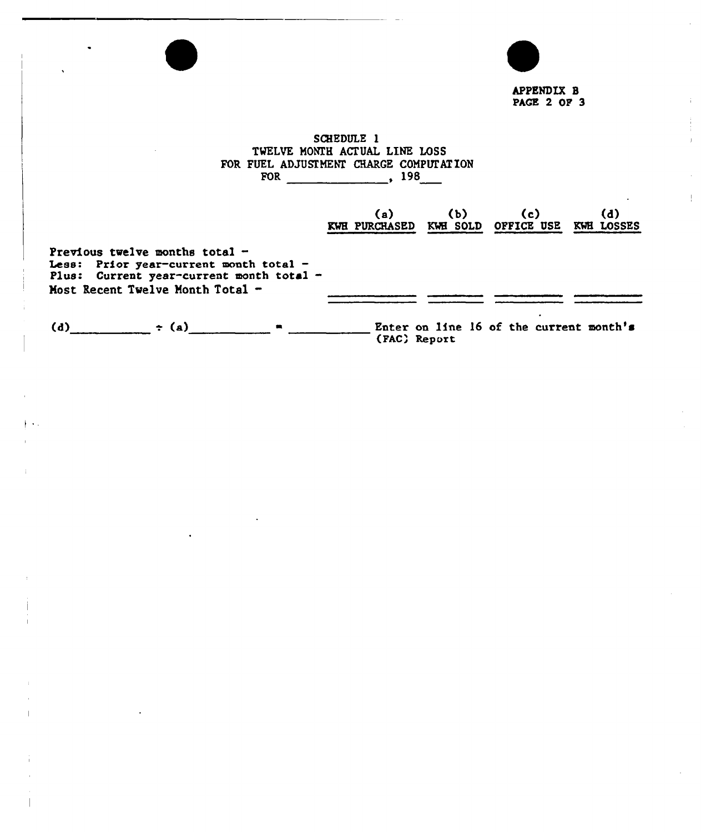| $\cdot$                                                                                                                                                    |                                                                                                         |                                         |            |
|------------------------------------------------------------------------------------------------------------------------------------------------------------|---------------------------------------------------------------------------------------------------------|-----------------------------------------|------------|
|                                                                                                                                                            |                                                                                                         | APPENDIX B<br><b>PAGE 2 OF 3</b>        |            |
|                                                                                                                                                            | SCHEDULE 1<br>TWELVE MONTH ACTUAL LINE LOSS<br>FOR FUEL ADJUSTMENT CHARGE COMPUTATION<br>FOR 498<br>(a) | $(b)$ (c)                               | (d)        |
| Previous twelve months total $-$<br>Less: Prior year-current month total -<br>Plus: Current year-current month total -<br>Most Recent Twelve Month Total - | KWE PURCHASED KWE SOLD OFFICE USE                                                                       |                                         | KWE LOSSES |
| $\div$ (a)<br>(d)                                                                                                                                          | (FAC) Report                                                                                            | Enter on line 16 of the current month's |            |

 $\frac{1}{2}$